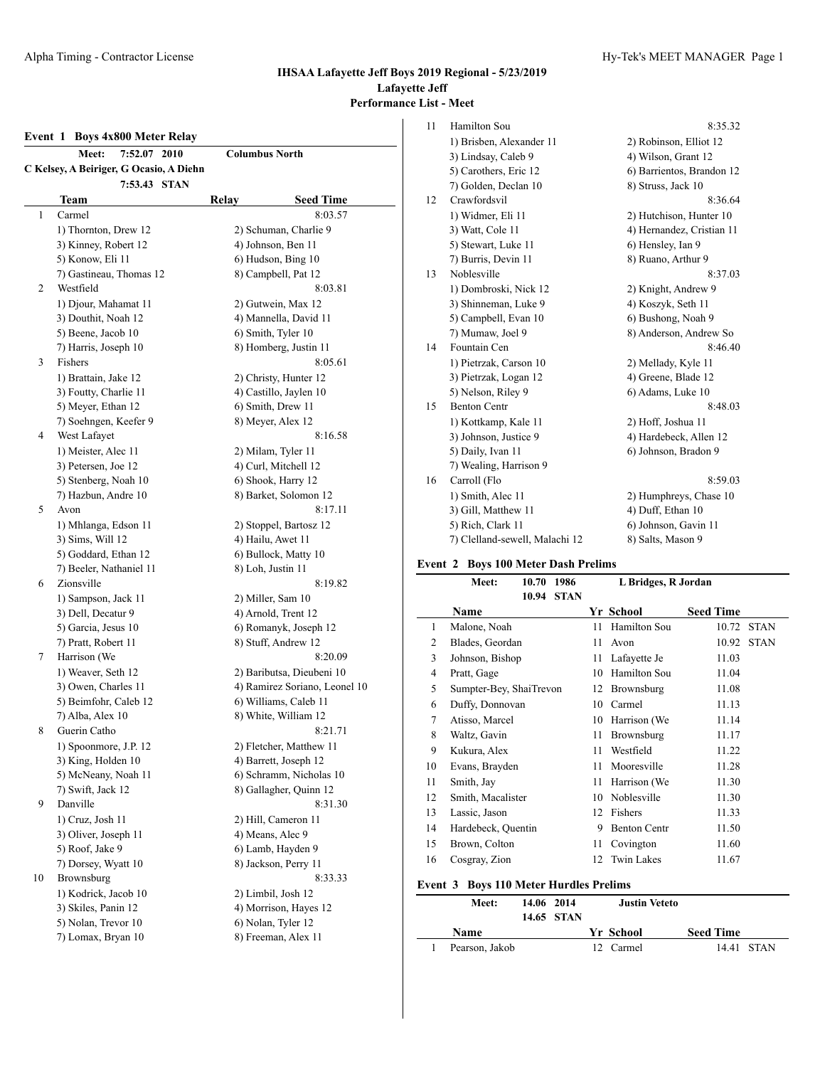#### **Event 1 Boys 4x800 Meter Relay**

|    | 7:52.07 2010<br><b>Meet:</b>            | <b>Columbus North</b>         |  |  |  |
|----|-----------------------------------------|-------------------------------|--|--|--|
|    | C Kelsey, A Beiriger, G Ocasio, A Diehn |                               |  |  |  |
|    | 7:53.43 STAN                            |                               |  |  |  |
|    | Team                                    | Relay<br><b>Seed Time</b>     |  |  |  |
| 1  | Carmel                                  | 8:03.57                       |  |  |  |
|    | 1) Thornton, Drew 12                    | 2) Schuman, Charlie 9         |  |  |  |
|    | 3) Kinney, Robert 12                    | 4) Johnson, Ben 11            |  |  |  |
|    | 5) Konow, Eli 11                        | 6) Hudson, Bing 10            |  |  |  |
|    | 7) Gastineau, Thomas 12                 | 8) Campbell, Pat 12           |  |  |  |
| 2  | Westfield                               | 8:03.81                       |  |  |  |
|    | 1) Djour, Mahamat 11                    | 2) Gutwein, Max 12            |  |  |  |
|    | 3) Douthit, Noah 12                     | 4) Mannella, David 11         |  |  |  |
|    | 5) Beene, Jacob 10                      | 6) Smith, Tyler 10            |  |  |  |
|    | 7) Harris, Joseph 10                    | 8) Homberg, Justin 11         |  |  |  |
| 3  | Fishers                                 | 8:05.61                       |  |  |  |
|    | 1) Brattain, Jake 12                    | 2) Christy, Hunter 12         |  |  |  |
|    | 3) Foutty, Charlie 11                   | 4) Castillo, Jaylen 10        |  |  |  |
|    | 5) Meyer, Ethan 12                      | 6) Smith, Drew 11             |  |  |  |
|    | 7) Soehngen, Keefer 9                   | 8) Meyer, Alex 12             |  |  |  |
| 4  | West Lafayet                            | 8:16.58                       |  |  |  |
|    | 1) Meister, Alec 11                     | 2) Milam, Tyler 11            |  |  |  |
|    | 3) Petersen, Joe 12                     | 4) Curl, Mitchell 12          |  |  |  |
|    | 5) Stenberg, Noah 10                    | 6) Shook, Harry 12            |  |  |  |
|    | 7) Hazbun, Andre 10                     | 8) Barket, Solomon 12         |  |  |  |
| 5  | Avon                                    | 8:17.11                       |  |  |  |
|    | 1) Mhlanga, Edson 11                    | 2) Stoppel, Bartosz 12        |  |  |  |
|    | 3) Sims, Will 12                        | 4) Hailu, Awet 11             |  |  |  |
|    | 5) Goddard, Ethan 12                    | 6) Bullock, Matty 10          |  |  |  |
|    | 7) Beeler, Nathaniel 11                 | 8) Loh, Justin 11             |  |  |  |
| 6  | Zionsville                              | 8:19.82                       |  |  |  |
|    | 1) Sampson, Jack 11                     | 2) Miller, Sam 10             |  |  |  |
|    | 3) Dell, Decatur 9                      | 4) Arnold, Trent 12           |  |  |  |
|    | 5) Garcia, Jesus 10                     | 6) Romanyk, Joseph 12         |  |  |  |
|    | 7) Pratt, Robert 11                     | 8) Stuff, Andrew 12           |  |  |  |
| 7  | Harrison (We                            | 8:20.09                       |  |  |  |
|    | 1) Weaver, Seth 12                      | 2) Baributsa, Dieubeni 10     |  |  |  |
|    | 3) Owen, Charles 11                     | 4) Ramirez Soriano, Leonel 10 |  |  |  |
|    | 5) Beimfohr, Caleb 12                   | 6) Williams, Caleb 11         |  |  |  |
|    | 7) Alba, Alex 10                        | 8) White, William 12          |  |  |  |
| 8  | Guerin Catho                            | 8:21.71                       |  |  |  |
|    | 1) Spoonmore, J.P. 12                   | 2) Fletcher, Matthew 11       |  |  |  |
|    | 3) King, Holden 10                      | 4) Barrett, Joseph 12         |  |  |  |
|    | 5) McNeany, Noah 11                     | 6) Schramm, Nicholas 10       |  |  |  |
|    | 7) Swift, Jack 12                       | 8) Gallagher, Quinn 12        |  |  |  |
| 9  | Danville                                | 8:31.30                       |  |  |  |
|    | 1) Cruz, Josh 11                        | 2) Hill, Cameron 11           |  |  |  |
|    | 3) Oliver, Joseph 11                    | 4) Means, Alec 9              |  |  |  |
|    | 5) Roof, Jake 9                         | 6) Lamb, Hayden 9             |  |  |  |
|    | 7) Dorsey, Wyatt 10                     | 8) Jackson, Perry 11          |  |  |  |
| 10 | Brownsburg                              | 8:33.33                       |  |  |  |
|    | 1) Kodrick, Jacob 10                    | 2) Limbil, Josh 12            |  |  |  |
|    | 3) Skiles, Panin 12                     | 4) Morrison, Hayes 12         |  |  |  |
|    | 5) Nolan, Trevor 10                     | 6) Nolan, Tyler 12            |  |  |  |
|    | 7) Lomax, Bryan 10                      | 8) Freeman, Alex 11           |  |  |  |
|    |                                         |                               |  |  |  |

#### 11 Hamilton Sou 8:35.32 1) Brisben, Alexander 11 2) Robinson, Elliot 12 3) Lindsay, Caleb 9 4) Wilson, Grant 12 5) Carothers, Eric 12 6) Barrientos, Brandon 12 7) Golden, Declan 10 8) Struss, Jack 10 12 Crawfordsvil 8:36.64 1) Widmer, Eli 11 2) Hutchison, Hunter 10 3) Watt, Cole 11 4) Hernandez, Cristian 11 5) Stewart, Luke 11 6) Hensley, Ian 9 7) Burris, Devin 11 8) Ruano, Arthur 9 13 Noblesville 8:37.03 1) Dombroski, Nick 12 2) Knight, Andrew 9 3) Shinneman, Luke 9 4) Koszyk, Seth 11 5) Campbell, Evan 10 6) Bushong, Noah 9 7) Mumaw, Joel 9 8) Anderson, Andrew So 14 Fountain Cen 8:46.40 1) Pietrzak, Carson 10 2) Mellady, Kyle 11 3) Pietrzak, Logan 12 4) Greene, Blade 12 5) Nelson, Riley 9 6) Adams, Luke 10 15 Benton Centr 8:48.03 1) Kottkamp, Kale 11 2) Hoff, Joshua 11 3) Johnson, Justice 9 4) Hardebeck, Allen 12 5) Daily, Ivan 11 6) Johnson, Bradon 9 7) Wealing, Harrison 9 16 Carroll (Flo 8:59.03 1) Smith, Alec 11 2) Humphreys, Chase 10 3) Gill, Matthew 11 4) Duff, Ethan 10

#### 5) Rich, Clark 11 6) Johnson, Gavin 11 7) Clelland-sewell, Malachi 12 8) Salts, Mason 9

#### **Event 2 Boys 100 Meter Dash Prelims**

|                | Meet:                   | 10.70 | 1986        |    | L Bridges, R Jordan |                  |             |
|----------------|-------------------------|-------|-------------|----|---------------------|------------------|-------------|
|                |                         | 10.94 | <b>STAN</b> |    |                     |                  |             |
|                | <b>Name</b>             |       |             |    | Yr School           | <b>Seed Time</b> |             |
| 1              | Malone, Noah            |       |             | 11 | Hamilton Sou        | 10.72            | <b>STAN</b> |
| $\overline{c}$ | Blades, Geordan         |       |             | 11 | Avon                | 10.92            | <b>STAN</b> |
| 3              | Johnson, Bishop         |       |             | 11 | Lafayette Je        | 11.03            |             |
| 4              | Pratt, Gage             |       |             | 10 | Hamilton Sou        | 11.04            |             |
| 5              | Sumpter-Bey, ShaiTrevon |       |             | 12 | Brownsburg          | 11.08            |             |
| 6              | Duffy, Donnovan         |       |             | 10 | Carmel              | 11.13            |             |
| 7              | Atisso, Marcel          |       |             | 10 | Harrison (We        | 11.14            |             |
| 8              | Waltz, Gavin            |       |             | 11 | Brownsburg          | 11.17            |             |
| 9              | Kukura, Alex            |       |             | 11 | Westfield           | 11.22            |             |
| 10             | Evans, Brayden          |       |             | 11 | Mooresville         | 11.28            |             |
| 11             | Smith, Jay              |       |             | 11 | Harrison (We        | 11.30            |             |
| 12             | Smith, Macalister       |       |             | 10 | Noblesville         | 11.30            |             |
| 13             | Lassic, Jason           |       |             | 12 | Fishers             | 11.33            |             |
| 14             | Hardebeck, Quentin      |       |             | 9  | <b>Benton Centr</b> | 11.50            |             |
| 15             | Brown, Colton           |       |             | 11 | Covington           | 11.60            |             |
| 16             | Cosgray, Zion           |       |             | 12 | <b>Twin Lakes</b>   | 11.67            |             |

#### **Event 3 Boys 110 Meter Hurdles Prelims**

| Meet:          | 14.06 2014 |            | <b>Justin Veteto</b> |                  |            |
|----------------|------------|------------|----------------------|------------------|------------|
|                |            | 14.65 STAN |                      |                  |            |
| Name           |            |            | Yr School            | <b>Seed Time</b> |            |
| Pearson, Jakob |            |            | 12 Carmel            |                  | 14.41 STAN |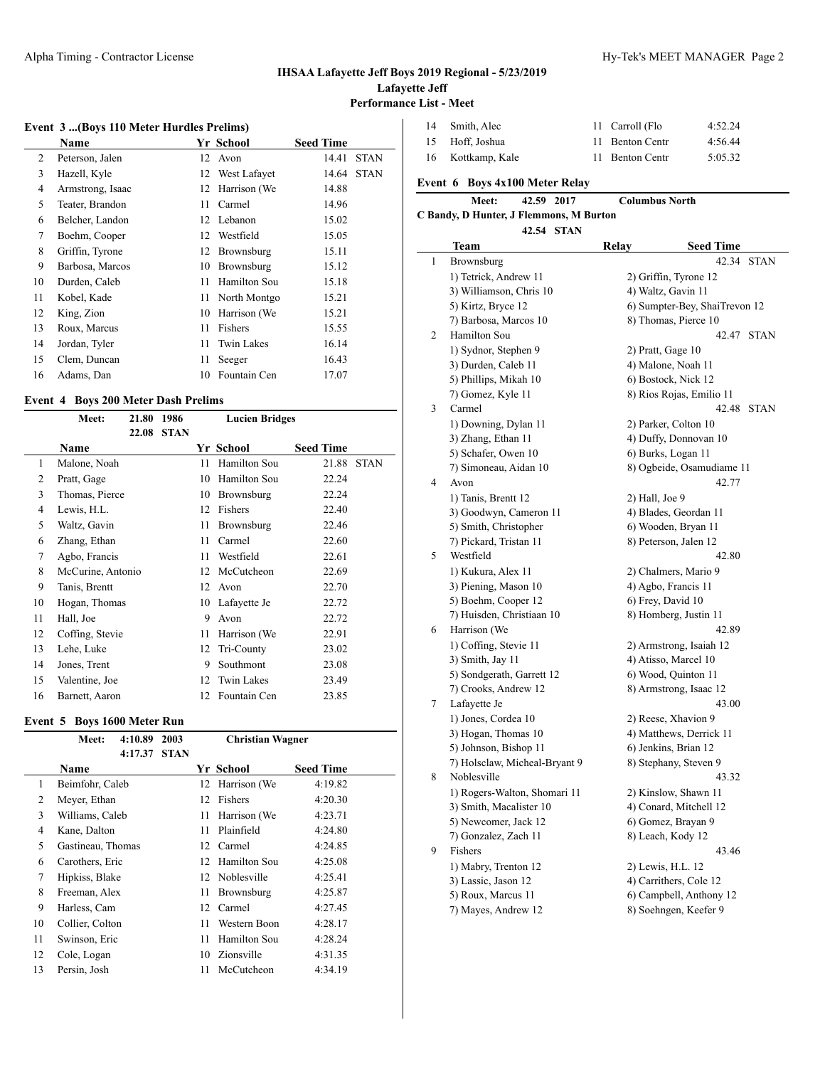#### **Event 3 ...(Boys 110 Meter Hurdles Prelims)**

|    | <b>Name</b>      |    | Yr School         | <b>Seed Time</b> |             |
|----|------------------|----|-------------------|------------------|-------------|
| 2  | Peterson, Jalen  |    | 12 Avon           | 14.41            | <b>STAN</b> |
| 3  | Hazell, Kyle     |    | 12 West Lafayet   | 14.64            | <b>STAN</b> |
| 4  | Armstrong, Isaac | 12 | Harrison (We      | 14.88            |             |
| 5  | Teater, Brandon  | 11 | Carmel            | 14.96            |             |
| 6  | Belcher, Landon  |    | 12 Lebanon        | 15.02            |             |
| 7  | Boehm, Cooper    | 12 | Westfield         | 15.05            |             |
| 8  | Griffin, Tyrone  | 12 | Brownsburg        | 15.11            |             |
| 9  | Barbosa, Marcos  | 10 | Brownsburg        | 15.12            |             |
| 10 | Durden, Caleb    | 11 | Hamilton Sou      | 15.18            |             |
| 11 | Kobel, Kade      | 11 | North Montgo      | 15.21            |             |
| 12 | King, Zion       | 10 | Harrison (We      | 15.21            |             |
| 13 | Roux, Marcus     | 11 | Fishers           | 15.55            |             |
| 14 | Jordan, Tyler    | 11 | <b>Twin Lakes</b> | 16.14            |             |
| 15 | Clem, Duncan     | 11 | Seeger            | 16.43            |             |
| 16 | Adams, Dan       | 10 | Fountain Cen      | 17.07            |             |
|    |                  |    |                   |                  |             |

### **Event 4 Boys 200 Meter Dash Prelims**

|    | Meet:             | 21.80 | 1986        |    | <b>Lucien Bridges</b> |                  |             |
|----|-------------------|-------|-------------|----|-----------------------|------------------|-------------|
|    |                   | 22.08 | <b>STAN</b> |    |                       |                  |             |
|    | <b>Name</b>       |       |             |    | Yr School             | <b>Seed Time</b> |             |
| 1  | Malone, Noah      |       |             | 11 | Hamilton Sou          | 21.88            | <b>STAN</b> |
| 2  | Pratt, Gage       |       |             | 10 | Hamilton Sou          | 22.24            |             |
| 3  | Thomas, Pierce    |       |             | 10 | Brownsburg            | 22.24            |             |
| 4  | Lewis, H.L.       |       |             | 12 | Fishers               | 22.40            |             |
| 5  | Waltz, Gavin      |       |             | 11 | Brownsburg            | 22.46            |             |
| 6  | Zhang, Ethan      |       |             | 11 | Carmel                | 22.60            |             |
| 7  | Agbo, Francis     |       |             | 11 | Westfield             | 22.61            |             |
| 8  | McCurine, Antonio |       |             | 12 | McCutcheon            | 22.69            |             |
| 9  | Tanis, Brentt     |       |             | 12 | Avon                  | 22.70            |             |
| 10 | Hogan, Thomas     |       |             | 10 | Lafayette Je          | 22.72            |             |
| 11 | Hall, Joe         |       |             | 9  | Avon                  | 22.72            |             |
| 12 | Coffing, Stevie   |       |             | 11 | Harrison (We          | 22.91            |             |
| 13 | Lehe, Luke        |       |             | 12 | Tri-County            | 23.02            |             |
| 14 | Jones, Trent      |       |             | 9  | Southmont             | 23.08            |             |
| 15 | Valentine, Joe    |       |             | 12 | Twin Lakes            | 23.49            |             |
| 16 | Barnett, Aaron    |       |             | 12 | Fountain Cen          | 23.85            |             |

#### **Event 5 Boys 1600 Meter Run**

| Meet:        | 4:10.89 | 2003                                                                                                                                                                                              |     | <b>Christian Wagner</b> |                                               |
|--------------|---------|---------------------------------------------------------------------------------------------------------------------------------------------------------------------------------------------------|-----|-------------------------|-----------------------------------------------|
|              | 4:17.37 | <b>STAN</b>                                                                                                                                                                                       |     |                         |                                               |
| Name         |         |                                                                                                                                                                                                   |     |                         | <b>Seed Time</b>                              |
|              |         |                                                                                                                                                                                                   | 12  | Harrison (We            | 4:19.82                                       |
|              |         |                                                                                                                                                                                                   | 12  | <b>Fishers</b>          | 4:20.30                                       |
|              |         |                                                                                                                                                                                                   | 11  | Harrison (We            | 4:23.71                                       |
|              |         |                                                                                                                                                                                                   | 11  | Plainfield              | 4:24.80                                       |
|              |         |                                                                                                                                                                                                   |     | Carmel                  | 4:24.85                                       |
|              |         |                                                                                                                                                                                                   | 12. | Hamilton Sou            | 4:25.08                                       |
|              |         |                                                                                                                                                                                                   |     |                         | 4:25.41                                       |
|              |         |                                                                                                                                                                                                   | 11  | Brownsburg              | 4:25.87                                       |
|              |         |                                                                                                                                                                                                   |     | Carmel                  | 4:27.45                                       |
|              |         |                                                                                                                                                                                                   | 11  | Western Boon            | 4:28.17                                       |
|              |         |                                                                                                                                                                                                   | 11  | Hamilton Sou            | 4:28.24                                       |
| Cole, Logan  |         |                                                                                                                                                                                                   |     | Zionsville              | 4:31.35                                       |
| Persin, Josh |         |                                                                                                                                                                                                   | 11  | McCutcheon              | 4:34.19                                       |
|              |         | Beimfohr, Caleb<br>Meyer, Ethan<br>Williams, Caleb<br>Kane, Dalton<br>Gastineau, Thomas<br>Carothers, Eric<br>Hipkiss, Blake<br>Freeman, Alex<br>Harless, Cam<br>Collier, Colton<br>Swinson, Eric |     |                         | Yr School<br>12<br>12 Noblesville<br>12<br>10 |

| 14 Smith, Alec    | 11 Carroll (Flo | 4:52.24 |
|-------------------|-----------------|---------|
| 15 Hoff, Joshua   | 11 Benton Centr | 4:56.44 |
| 16 Kottkamp, Kale | 11 Benton Centr | 5:05.32 |

|                | 42.59 2017<br>Meet:                     | <b>Columbus North</b> |                               |
|----------------|-----------------------------------------|-----------------------|-------------------------------|
|                | C Bandy, D Hunter, J Flemmons, M Burton |                       |                               |
|                | 42.54 STAN                              |                       |                               |
|                | Team                                    | Relay                 | <b>Seed Time</b>              |
| 1              | Brownsburg                              |                       | 42.34<br><b>STAN</b>          |
|                | 1) Tetrick, Andrew 11                   |                       | 2) Griffin, Tyrone 12         |
|                | 3) Williamson, Chris 10                 |                       | 4) Waltz, Gavin 11            |
|                | 5) Kirtz, Bryce 12                      |                       | 6) Sumpter-Bey, ShaiTrevon 12 |
|                | 7) Barbosa, Marcos 10                   |                       | 8) Thomas, Pierce 10          |
| $\overline{2}$ | Hamilton Sou                            |                       | 42.47 STAN                    |
|                | 1) Sydnor, Stephen 9                    |                       | 2) Pratt, Gage 10             |
|                | 3) Durden, Caleb 11                     |                       | 4) Malone, Noah 11            |
|                | 5) Phillips, Mikah 10                   |                       | 6) Bostock, Nick 12           |
|                | 7) Gomez, Kyle 11                       |                       | 8) Rios Rojas, Emilio 11      |
| 3              | Carmel                                  |                       | 42.48<br><b>STAN</b>          |
|                | 1) Downing, Dylan 11                    |                       | 2) Parker, Colton 10          |
|                | 3) Zhang, Ethan 11                      |                       | 4) Duffy, Donnovan 10         |
|                | 5) Schafer, Owen 10                     |                       | 6) Burks, Logan 11            |
|                | 7) Simoneau, Aidan 10                   |                       | 8) Ogbeide, Osamudiame 11     |
| $\overline{4}$ | Avon                                    |                       | 42.77                         |
|                | 1) Tanis, Brentt 12                     | 2) Hall, Joe 9        |                               |
|                | 3) Goodwyn, Cameron 11                  |                       | 4) Blades, Geordan 11         |
|                | 5) Smith, Christopher                   |                       | 6) Wooden, Bryan 11           |
|                | 7) Pickard, Tristan 11                  |                       | 8) Peterson, Jalen 12         |
| 5              | Westfield                               |                       | 42.80                         |
|                | 1) Kukura, Alex 11                      |                       | 2) Chalmers, Mario 9          |
|                | 3) Piening, Mason 10                    |                       | 4) Agbo, Francis 11           |
|                | 5) Boehm, Cooper 12                     |                       | 6) Frey, David 10             |
|                | 7) Huisden, Christiaan 10               |                       | 8) Homberg, Justin 11         |
| 6              | Harrison (We                            |                       | 42.89                         |
|                | 1) Coffing, Stevie 11                   |                       | 2) Armstrong, Isaiah 12       |
|                | 3) Smith, Jay 11                        |                       | 4) Atisso, Marcel 10          |
|                | 5) Sondgerath, Garrett 12               |                       | 6) Wood, Quinton 11           |
|                | 7) Crooks, Andrew 12                    |                       | 8) Armstrong, Isaac 12        |
| 7              | Lafayette Je                            |                       | 43.00                         |
|                | 1) Jones, Cordea 10                     |                       | 2) Reese, Xhavion 9           |
|                | 3) Hogan, Thomas 10                     |                       | 4) Matthews, Derrick 11       |
|                | 5) Johnson, Bishop 11                   |                       | 6) Jenkins, Brian 12          |
|                | 7) Holsclaw, Micheal-Bryant 9           |                       | 8) Stephany, Steven 9         |
| 8              | Noblesville                             |                       | 43.32                         |
|                | 1) Rogers-Walton, Shomari 11            |                       | 2) Kinslow, Shawn 11          |

- 3) Smith, Macalister 10 4) Conard, Mitchell 12 5) Newcomer, Jack 12 6) Gomez, Brayan 9 7) Gonzalez, Zach 11 8) Leach, Kody 12 9 Fishers 43.46 1) Mabry, Trenton 12 2) Lewis, H.L. 12 3) Lassic, Jason 12 4) Carrithers, Cole 12 5) Roux, Marcus 11 6) Campbell, Anthony 12
	- 7) Mayes, Andrew 12 8) Soehngen, Keefer 9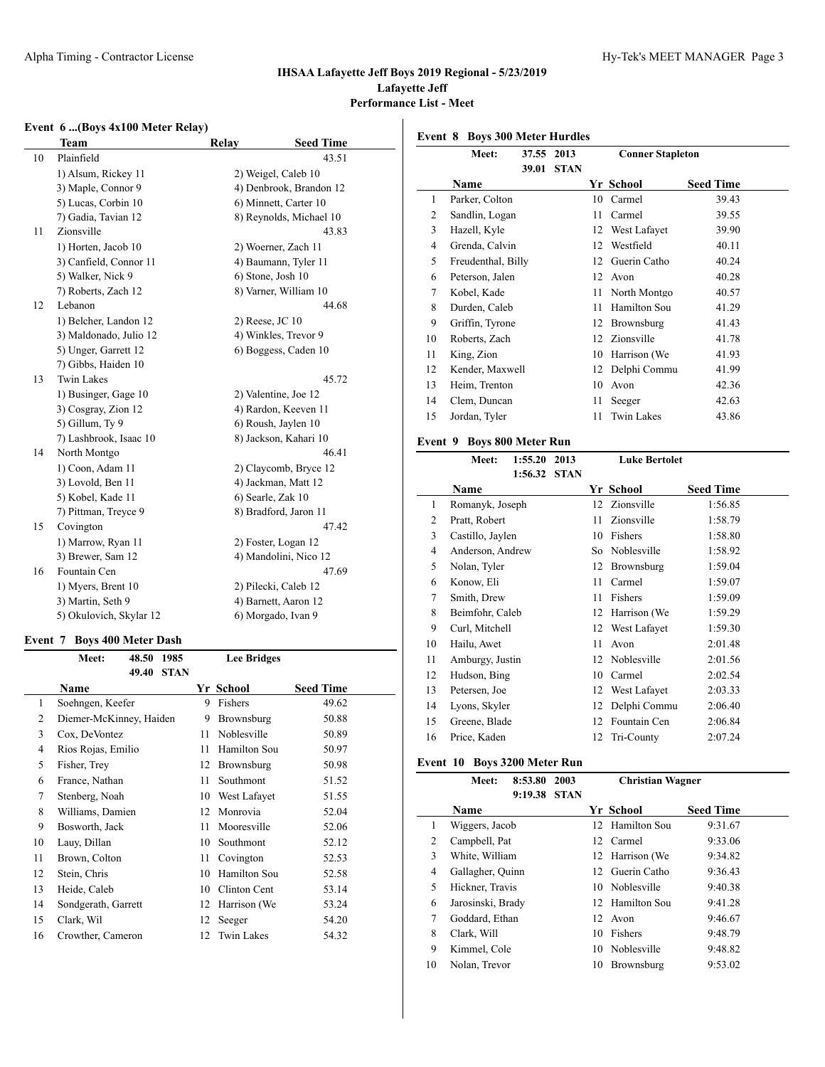#### Alpha Timing - Contractor License **Hy-Tek's MEET MANAGER** Page 3

#### **IHSAA Lafayette Jeff Boys 2019 Regional - 5/23/2019 Lafayette Jeff Performance List - Meet**

### **Event 6 ...(Boys 4x100 Meter Relay)**

|    | Team                    | Relay               | <b>Seed Time</b>        |
|----|-------------------------|---------------------|-------------------------|
| 10 | Plainfield              |                     | 43.51                   |
|    | 1) Alsum, Rickey 11     |                     | 2) Weigel, Caleb 10     |
|    | 3) Maple, Connor 9      |                     | 4) Denbrook, Brandon 12 |
|    | 5) Lucas, Corbin 10     |                     | 6) Minnett, Carter 10   |
|    | 7) Gadia, Tavian 12     |                     | 8) Reynolds, Michael 10 |
| 11 | Zionsville              |                     | 43.83                   |
|    | 1) Horten, Jacob 10     |                     | 2) Woerner, Zach 11     |
|    | 3) Canfield, Connor 11  |                     | 4) Baumann, Tyler 11    |
|    | 5) Walker, Nick 9       |                     | 6) Stone, Josh 10       |
|    | 7) Roberts, Zach 12     |                     | 8) Varner, William 10   |
| 12 | Lebanon                 |                     | 44.68                   |
|    | 1) Belcher, Landon 12   | $2)$ Reese, JC $10$ |                         |
|    | 3) Maldonado, Julio 12  |                     | 4) Winkles, Trevor 9    |
|    | 5) Unger, Garrett 12    |                     | 6) Boggess, Caden 10    |
|    | 7) Gibbs, Haiden 10     |                     |                         |
| 13 | <b>Twin Lakes</b>       |                     | 45.72                   |
|    | 1) Businger, Gage 10    |                     | 2) Valentine, Joe 12    |
|    | 3) Cosgray, Zion 12     |                     | 4) Rardon, Keeven 11    |
|    | 5) Gillum, Ty 9         |                     | 6) Roush, Jaylen 10     |
|    | 7) Lashbrook, Isaac 10  |                     | 8) Jackson, Kahari 10   |
| 14 | North Montgo            |                     | 46.41                   |
|    | 1) Coon, Adam 11        |                     | 2) Claycomb, Bryce 12   |
|    | 3) Lovold, Ben 11       |                     | 4) Jackman, Matt 12     |
|    | 5) Kobel, Kade 11       |                     | 6) Searle, Zak 10       |
|    | 7) Pittman, Treyce 9    |                     | 8) Bradford, Jaron 11   |
| 15 | Covington               |                     | 47.42                   |
|    | 1) Marrow, Ryan 11      |                     | 2) Foster, Logan 12     |
|    | 3) Brewer, Sam 12       |                     | 4) Mandolini, Nico 12   |
| 16 | Fountain Cen            |                     | 47.69                   |
|    | 1) Myers, Brent 10      |                     | 2) Pilecki, Caleb 12    |
|    | 3) Martin, Seth 9       |                     | 4) Barnett, Aaron 12    |
|    | 5) Okulovich, Skylar 12 |                     | 6) Morgado, Ivan 9      |
|    |                         |                     |                         |

#### **Event 7 Boys 400 Meter Dash**

|    | Meet:                   | 48.50 1985 |             |    | <b>Lee Bridges</b> |                  |
|----|-------------------------|------------|-------------|----|--------------------|------------------|
|    |                         | 49.40      | <b>STAN</b> |    |                    |                  |
|    | Name                    |            |             |    | Yr School          | <b>Seed Time</b> |
| 1  | Soehngen, Keefer        |            |             | 9  | Fishers            | 49.62            |
| 2  | Diemer-McKinney, Haiden |            |             | 9  | Brownsburg         | 50.88            |
| 3  | Cox, DeVontez           |            |             | 11 | Noblesville        | 50.89            |
| 4  | Rios Rojas, Emilio      |            |             | 11 | Hamilton Sou       | 50.97            |
| 5  | Fisher, Trey            |            |             | 12 | Brownsburg         | 50.98            |
| 6  | France, Nathan          |            |             | 11 | Southmont          | 51.52            |
| 7  | Stenberg, Noah          |            |             | 10 | West Lafayet       | 51.55            |
| 8  | Williams, Damien        |            |             | 12 | Monrovia           | 52.04            |
| 9  | Bosworth, Jack          |            |             | 11 | Mooresville        | 52.06            |
| 10 | Lauy, Dillan            |            |             | 10 | Southmont          | 52.12            |
| 11 | Brown, Colton           |            |             | 11 | Covington          | 52.53            |
| 12 | Stein, Chris            |            |             | 10 | Hamilton Sou       | 52.58            |
| 13 | Heide, Caleb            |            |             | 10 | Clinton Cent       | 53.14            |
| 14 | Sondgerath, Garrett     |            |             | 12 | Harrison (We       | 53.24            |
| 15 | Clark, Wil              |            |             | 12 | Seeger             | 54.20            |
| 16 | Crowther, Cameron       |            |             | 12 | <b>Twin Lakes</b>  | 54.32            |
|    |                         |            |             |    |                    |                  |

**Event 8 Boys 300 Meter Hurdles**

|    | Meet:              | 37.55<br>39.01 | 2013<br><b>STAN</b> | <b>Conner Stapleton</b> |                   |                  |  |
|----|--------------------|----------------|---------------------|-------------------------|-------------------|------------------|--|
|    | <b>Name</b>        |                |                     |                         | Yr School         | <b>Seed Time</b> |  |
| 1  | Parker, Colton     |                |                     | 10                      | Carmel            | 39.43            |  |
| 2  | Sandlin, Logan     |                |                     | 11                      | Carmel            | 39.55            |  |
| 3  | Hazell, Kyle       |                |                     | 12                      | West Lafayet      | 39.90            |  |
| 4  | Grenda, Calvin     |                |                     | 12                      | Westfield         | 40.11            |  |
| 5  | Freudenthal, Billy |                |                     | 12                      | Guerin Catho      | 40.24            |  |
| 6  | Peterson, Jalen    |                |                     | 12                      | Avon              | 40.28            |  |
| 7  | Kobel, Kade        |                |                     | 11                      | North Montgo      | 40.57            |  |
| 8  | Durden, Caleb      |                |                     | 11                      | Hamilton Sou      | 41.29            |  |
| 9  | Griffin, Tyrone    |                |                     | 12                      | Brownsburg        | 41.43            |  |
| 10 | Roberts, Zach      |                |                     | 12                      | Zionsville        | 41.78            |  |
| 11 | King, Zion         |                |                     | 10                      | Harrison (We      | 41.93            |  |
| 12 | Kender, Maxwell    |                |                     | 12                      | Delphi Commu      | 41.99            |  |
| 13 | Heim, Trenton      |                |                     | 10                      | Avon              | 42.36            |  |
| 14 | Clem, Duncan       |                |                     | 11                      | Seeger            | 42.63            |  |
| 15 | Jordan, Tyler      |                |                     | 11                      | <b>Twin Lakes</b> | 43.86            |  |

#### **Event 9 Boys 800 Meter Run**

|    | Meet:            | 1:55.20 | 2013        |     | <b>Luke Bertolet</b> |                  |  |  |  |
|----|------------------|---------|-------------|-----|----------------------|------------------|--|--|--|
|    |                  | 1:56.32 | <b>STAN</b> |     |                      |                  |  |  |  |
|    | Name             |         |             |     | Yr School            | <b>Seed Time</b> |  |  |  |
| 1  | Romanyk, Joseph  |         |             | 12  | Zionsville           | 1:56.85          |  |  |  |
| 2  | Pratt, Robert    |         |             | 11  | Zionsville           | 1:58.79          |  |  |  |
| 3  | Castillo, Jaylen |         |             | 10  | Fishers              | 1:58.80          |  |  |  |
| 4  | Anderson, Andrew |         |             | So. | Noblesville          | 1:58.92          |  |  |  |
| 5  | Nolan, Tyler     |         |             | 12  | Brownsburg           | 1:59.04          |  |  |  |
| 6  | Konow, Eli       |         |             | 11  | Carmel               | 1:59.07          |  |  |  |
| 7  | Smith, Drew      |         |             | 11  | Fishers              | 1:59.09          |  |  |  |
| 8  | Beimfohr, Caleb  |         |             | 12  | Harrison (We         | 1:59.29          |  |  |  |
| 9  | Curl, Mitchell   |         |             | 12  | West Lafayet         | 1:59.30          |  |  |  |
| 10 | Hailu, Awet      |         |             | 11  | Avon                 | 2:01.48          |  |  |  |
| 11 | Amburgy, Justin  |         |             | 12  | Noblesville          | 2:01.56          |  |  |  |
| 12 | Hudson, Bing     |         |             | 10  | Carmel               | 2:02.54          |  |  |  |
| 13 | Petersen, Joe    |         |             | 12  | West Lafayet         | 2:03.33          |  |  |  |
| 14 | Lyons, Skyler    |         |             | 12  | Delphi Commu         | 2:06.40          |  |  |  |
| 15 | Greene, Blade    |         |             | 12  | Fountain Cen         | 2:06.84          |  |  |  |
| 16 | Price, Kaden     |         |             | 12  | Tri-County           | 2:07.24          |  |  |  |

#### **Event 10 Boys 3200 Meter Run**

|    | Meet:             | 8:53.80 | 2003        |    | <b>Christian Wagner</b> |                  |  |
|----|-------------------|---------|-------------|----|-------------------------|------------------|--|
|    | Name              | 9:19.38 | <b>STAN</b> |    | Yr School               | <b>Seed Time</b> |  |
| 1  | Wiggers, Jacob    |         |             |    | 12 Hamilton Sou         | 9:31.67          |  |
| 2  | Campbell, Pat     |         |             |    | 12 Carmel               | 9:33.06          |  |
| 3  | White, William    |         |             |    | 12 Harrison (We         | 9:34.82          |  |
| 4  | Gallagher, Quinn  |         |             |    | 12 Guerin Catho         | 9:36.43          |  |
| 5  | Hickner, Travis   |         |             |    | 10 Noblesville          | 9:40.38          |  |
| 6  | Jarosinski, Brady |         |             |    | 12 Hamilton Sou         | 9:41.28          |  |
| 7  | Goddard, Ethan    |         |             |    | 12 Avon                 | 9:46.67          |  |
| 8  | Clark, Will       |         |             | 10 | Fishers                 | 9:48.79          |  |
| 9  | Kimmel, Cole      |         |             | 10 | Noblesville             | 9:48.82          |  |
| 10 | Nolan, Trevor     |         |             | 10 | Brownsburg              | 9:53.02          |  |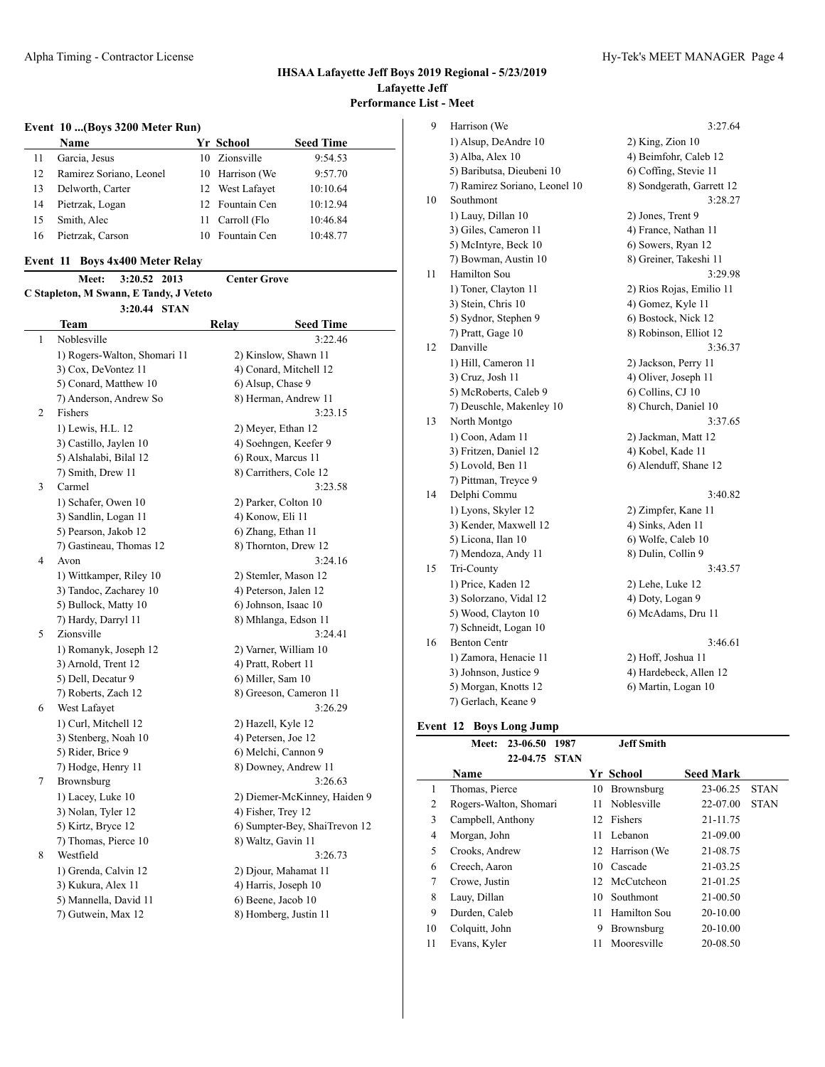#### **Event 10 ...(Boys 3200 Meter Run)**

|    | <b>Name</b>             |    | Yr School       | <b>Seed Time</b> |
|----|-------------------------|----|-----------------|------------------|
| 11 | Garcia, Jesus           |    | 10 Zionsville   | 9:54.53          |
| 12 | Ramirez Soriano, Leonel |    | 10 Harrison (We | 9:57.70          |
|    | Delworth, Carter        |    | 12 West Lafayet | 10:10.64         |
| 14 | Pietrzak, Logan         |    | 12 Fountain Cen | 10:12.94         |
|    | Smith, Alec             | 11 | Carroll (Flo    | 10:46.84         |
|    | Pietrzak, Carson        |    | 10 Fountain Cen | 10:48.77         |

#### **Event 11 Boys 4x400 Meter Relay**

|                                         |  | Meet: 3:20.52 2013 |  | <b>Center Grove</b> |  |  |  |
|-----------------------------------------|--|--------------------|--|---------------------|--|--|--|
| C Stapleton, M Swann, E Tandy, J Veteto |  |                    |  |                     |  |  |  |
|                                         |  | 3:20.44 STAN       |  |                     |  |  |  |

|   | <b>Team</b>                  | Relay | <b>Seed Time</b>              |
|---|------------------------------|-------|-------------------------------|
| 1 | Noblesville                  |       | 3:22.46                       |
|   | 1) Rogers-Walton, Shomari 11 |       | 2) Kinslow, Shawn 11          |
|   | 3) Cox, DeVontez 11          |       | 4) Conard, Mitchell 12        |
|   | 5) Conard, Matthew 10        |       | 6) Alsup, Chase 9             |
|   | 7) Anderson, Andrew So       |       | 8) Herman, Andrew 11          |
| 2 | Fishers                      |       | 3:23.15                       |
|   | 1) Lewis, H.L. 12            |       | 2) Meyer, Ethan 12            |
|   | 3) Castillo, Jaylen 10       |       | 4) Soehngen, Keefer 9         |
|   | 5) Alshalabi, Bilal 12       |       | 6) Roux, Marcus 11            |
|   | 7) Smith, Drew 11            |       | 8) Carrithers, Cole 12        |
| 3 | Carmel                       |       | 3:23.58                       |
|   | 1) Schafer, Owen 10          |       | 2) Parker, Colton 10          |
|   | 3) Sandlin, Logan 11         |       | 4) Konow, Eli 11              |
|   | 5) Pearson, Jakob 12         |       | 6) Zhang, Ethan 11            |
|   | 7) Gastineau, Thomas 12      |       | 8) Thornton, Drew 12          |
| 4 | Avon                         |       | 3:24.16                       |
|   | 1) Wittkamper, Riley 10      |       | 2) Stemler, Mason 12          |
|   | 3) Tandoc, Zacharey 10       |       | 4) Peterson, Jalen 12         |
|   | 5) Bullock, Matty 10         |       | 6) Johnson, Isaac 10          |
|   | 7) Hardy, Darryl 11          |       | 8) Mhlanga, Edson 11          |
| 5 | Zionsville                   |       | 3:24.41                       |
|   | 1) Romanyk, Joseph 12        |       | 2) Varner, William 10         |
|   | 3) Arnold, Trent 12          |       | 4) Pratt, Robert 11           |
|   | 5) Dell, Decatur 9           |       | 6) Miller, Sam 10             |
|   | 7) Roberts, Zach 12          |       | 8) Greeson, Cameron 11        |
| 6 | West Lafayet                 |       | 3:26.29                       |
|   | 1) Curl, Mitchell 12         |       | 2) Hazell, Kyle 12            |
|   | 3) Stenberg, Noah 10         |       | 4) Petersen, Joe 12           |
|   | 5) Rider, Brice 9            |       | 6) Melchi, Cannon 9           |
|   | 7) Hodge, Henry 11           |       | 8) Downey, Andrew 11          |
| 7 | Brownsburg                   |       | 3:26.63                       |
|   | 1) Lacey, Luke 10            |       | 2) Diemer-McKinney, Haiden 9  |
|   | 3) Nolan, Tyler 12           |       | 4) Fisher, Trey 12            |
|   | 5) Kirtz, Bryce 12           |       | 6) Sumpter-Bey, ShaiTrevon 12 |
|   | 7) Thomas, Pierce 10         |       | 8) Waltz, Gavin 11            |
| 8 | Westfield                    |       | 3:26.73                       |
|   | 1) Grenda, Calvin 12         |       | 2) Djour, Mahamat 11          |
|   | 3) Kukura, Alex 11           |       | 4) Harris, Joseph 10          |
|   | 5) Mannella, David 11        |       | 6) Beene, Jacob 10            |
|   | 7) Gutwein, Max 12           |       | 8) Homberg, Justin 11         |

| 9  | Harrison (We                  | 3:27.64                   |
|----|-------------------------------|---------------------------|
|    | 1) Alsup, DeAndre 10          | 2) King, Zion 10          |
|    | 3) Alba, Alex 10              | 4) Beimfohr, Caleb 12     |
|    | 5) Baributsa, Dieubeni 10     | 6) Coffing, Stevie 11     |
|    | 7) Ramirez Soriano, Leonel 10 | 8) Sondgerath, Garrett 12 |
| 10 | Southmont                     | 3:28.27                   |
|    | 1) Lauy, Dillan 10            | 2) Jones, Trent 9         |
|    | 3) Giles, Cameron 11          | 4) France, Nathan 11      |
|    | 5) McIntyre, Beck 10          | 6) Sowers, Ryan 12        |
|    | 7) Bowman, Austin 10          | 8) Greiner, Takeshi 11    |
| 11 | Hamilton Sou                  | 3:29.98                   |
|    | 1) Toner, Clayton 11          | 2) Rios Rojas, Emilio 11  |
|    | 3) Stein, Chris 10            | 4) Gomez, Kyle 11         |
|    | 5) Sydnor, Stephen 9          | 6) Bostock, Nick 12       |
|    | 7) Pratt, Gage 10             | 8) Robinson, Elliot 12    |
| 12 | Danville                      | 3:36.37                   |
|    | 1) Hill, Cameron 11           | 2) Jackson, Perry 11      |
|    | 3) Cruz, Josh 11              | 4) Oliver, Joseph 11      |
|    | 5) McRoberts, Caleb 9         | 6) Collins, CJ 10         |
|    | 7) Deuschle, Makenley 10      | 8) Church, Daniel 10      |
| 13 | North Montgo                  | 3:37.65                   |
|    | 1) Coon, Adam 11              | 2) Jackman, Matt 12       |
|    | 3) Fritzen, Daniel 12         | 4) Kobel, Kade 11         |
|    | 5) Lovold, Ben 11             | 6) Alenduff, Shane 12     |
|    | 7) Pittman, Treyce 9          |                           |
| 14 | Delphi Commu                  | 3:40.82                   |
|    | 1) Lyons, Skyler 12           | 2) Zimpfer, Kane 11       |
|    | 3) Kender, Maxwell 12         | 4) Sinks, Aden 11         |
|    | 5) Licona, Ilan 10            | 6) Wolfe, Caleb 10        |
|    | 7) Mendoza, Andy 11           | 8) Dulin, Collin 9        |
| 15 | Tri-County                    | 3:43.57                   |
|    | 1) Price, Kaden 12            | 2) Lehe, Luke 12          |
|    | 3) Solorzano, Vidal 12        | 4) Doty, Logan 9          |
|    | 5) Wood, Clayton 10           | 6) McAdams, Dru 11        |
|    | 7) Schneidt, Logan 10         |                           |
| 16 | <b>Benton Centr</b>           | 3:46.61                   |
|    | 1) Zamora, Henacie 11         | 2) Hoff, Joshua 11        |
|    | 3) Johnson, Justice 9         | 4) Hardebeck, Allen 12    |
|    | 5) Morgan, Knotts 12          | 6) Martin, Logan 10       |
|    | 7) Gerlach, Keane 9           |                           |

# **Event 12 Boys Long Jump**

|    | 23-06.50<br>1987<br>Meet: | <b>Jeff Smith</b>             |                         |
|----|---------------------------|-------------------------------|-------------------------|
|    | 22-04.75<br><b>STAN</b>   |                               |                         |
|    | <b>Name</b>               | <b>Seed Mark</b><br>Yr School |                         |
| 1  | Thomas, Pierce            | Brownsburg<br>10              | 23-06.25<br><b>STAN</b> |
| 2  | Rogers-Walton, Shomari    | Noblesville<br>11             | 22-07.00<br><b>STAN</b> |
| 3  | Campbell, Anthony         | 12 Fishers                    | 21-11.75                |
| 4  | Morgan, John              | Lebanon<br>11                 | 21-09.00                |
| 5  | Crooks, Andrew            | 12 Harrison (We               | 21-08.75                |
| 6  | Creech, Aaron             | Cascade<br>10                 | 21-03.25                |
| 7  | Crowe, Justin             | 12 McCutcheon                 | 21-01.25                |
| 8  | Lauy, Dillan              | Southmont<br>10               | 21-00.50                |
| 9  | Durden, Caleb             | Hamilton Sou<br>11            | 20-10.00                |
| 10 | Colquitt, John            | Brownsburg<br>9               | 20-10.00                |
| 11 | Evans, Kyler              | 11<br>Mooresville             | 20-08.50                |